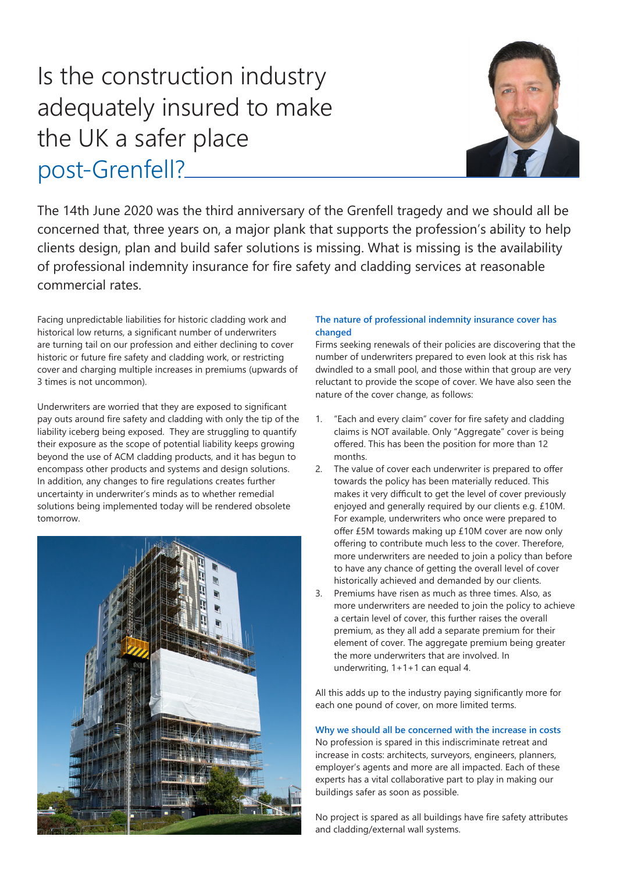# Is the construction industry adequately insured to make the UK a safer place post-Grenfell?



The 14th June 2020 was the third anniversary of the Grenfell tragedy and we should all be concerned that, three years on, a major plank that supports the profession's ability to help clients design, plan and build safer solutions is missing. What is missing is the availability of professional indemnity insurance for fire safety and cladding services at reasonable commercial rates.

Facing unpredictable liabilities for historic cladding work and historical low returns, a significant number of underwriters are turning tail on our profession and either declining to cover historic or future fire safety and cladding work, or restricting cover and charging multiple increases in premiums (upwards of 3 times is not uncommon).

Underwriters are worried that they are exposed to significant pay outs around fire safety and cladding with only the tip of the liability iceberg being exposed. They are struggling to quantify their exposure as the scope of potential liability keeps growing beyond the use of ACM cladding products, and it has begun to encompass other products and systems and design solutions. In addition, any changes to fire regulations creates further uncertainty in underwriter's minds as to whether remedial solutions being implemented today will be rendered obsolete tomorrow.



## **The nature of professional indemnity insurance cover has changed**

Firms seeking renewals of their policies are discovering that the number of underwriters prepared to even look at this risk has dwindled to a small pool, and those within that group are very reluctant to provide the scope of cover. We have also seen the nature of the cover change, as follows:

- 1. "Each and every claim" cover for fire safety and cladding claims is NOT available. Only "Aggregate" cover is being offered. This has been the position for more than 12 months.
- 2. The value of cover each underwriter is prepared to offer towards the policy has been materially reduced. This makes it very difficult to get the level of cover previously enjoyed and generally required by our clients e.g. £10M. For example, underwriters who once were prepared to offer £5M towards making up £10M cover are now only offering to contribute much less to the cover. Therefore, more underwriters are needed to join a policy than before to have any chance of getting the overall level of cover historically achieved and demanded by our clients.
- 3. Premiums have risen as much as three times. Also, as more underwriters are needed to join the policy to achieve a certain level of cover, this further raises the overall premium, as they all add a separate premium for their element of cover. The aggregate premium being greater the more underwriters that are involved. In underwriting, 1+1+1 can equal 4.

All this adds up to the industry paying significantly more for each one pound of cover, on more limited terms.

# **Why we should all be concerned with the increase in costs**

No profession is spared in this indiscriminate retreat and increase in costs: architects, surveyors, engineers, planners, employer's agents and more are all impacted. Each of these experts has a vital collaborative part to play in making our buildings safer as soon as possible.

No project is spared as all buildings have fire safety attributes and cladding/external wall systems.